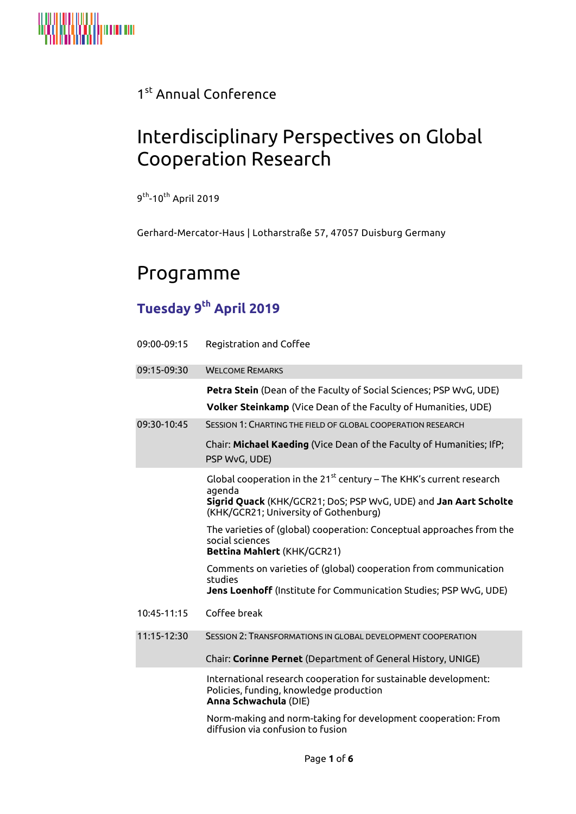

### 1st Annual Conference

# Interdisciplinary Perspectives on Global Cooperation Research

9<sup>th</sup>-10<sup>th</sup> April 2019

Gerhard-Mercator-Haus | Lotharstraße 57, 47057 Duisburg Germany

## Programme

### **Tuesday 9 th April 2019**

| 09:00-09:15 | Registration and Coffee                                                                                                                                                                         |
|-------------|-------------------------------------------------------------------------------------------------------------------------------------------------------------------------------------------------|
| 09:15-09:30 | <b>WELCOME REMARKS</b>                                                                                                                                                                          |
|             | Petra Stein (Dean of the Faculty of Social Sciences; PSP WvG, UDE)<br><b>Volker Steinkamp</b> (Vice Dean of the Faculty of Humanities, UDE)                                                     |
| 09:30-10:45 | SESSION 1: CHARTING THE FIELD OF GLOBAL COOPERATION RESEARCH                                                                                                                                    |
|             | Chair: Michael Kaeding (Vice Dean of the Faculty of Humanities; IfP;<br>PSP WvG, UDE)                                                                                                           |
|             | Global cooperation in the $21^{st}$ century – The KHK's current research<br>agenda<br>Sigrid Quack (KHK/GCR21; DoS; PSP WvG, UDE) and Jan Aart Scholte<br>(KHK/GCR21; University of Gothenburg) |
|             | The varieties of (global) cooperation: Conceptual approaches from the<br>social sciences<br>Bettina Mahlert (KHK/GCR21)                                                                         |
|             | Comments on varieties of (global) cooperation from communication<br>studies<br>Jens Loenhoff (Institute for Communication Studies; PSP WvG, UDE)                                                |
| 10:45-11:15 | Coffee break                                                                                                                                                                                    |
| 11:15-12:30 | SESSION 2: TRANSFORMATIONS IN GLOBAL DEVELOPMENT COOPERATION                                                                                                                                    |
|             | Chair: Corinne Pernet (Department of General History, UNIGE)                                                                                                                                    |
|             | International research cooperation for sustainable development:<br>Policies, funding, knowledge production<br>Anna Schwachula (DIE)                                                             |
|             | Norm-making and norm-taking for development cooperation: From<br>diffusion via confusion to fusion                                                                                              |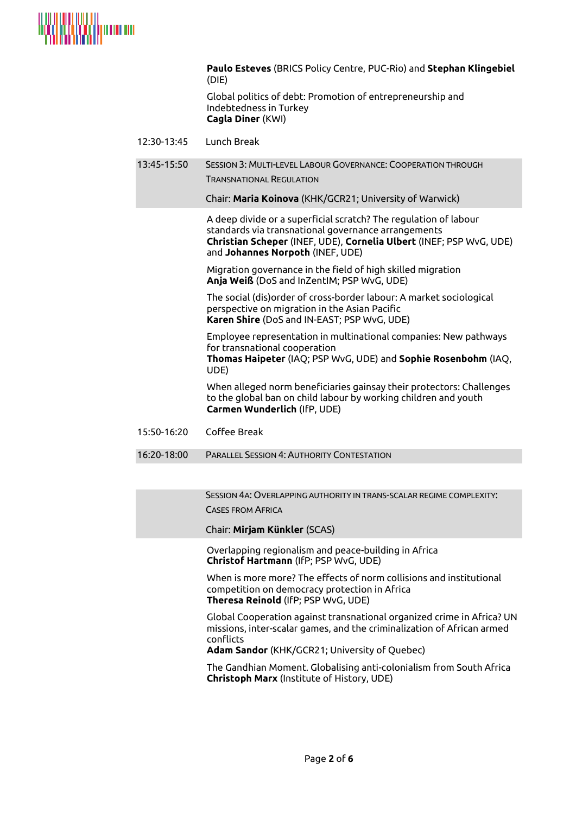

|             | Paulo Esteves (BRICS Policy Centre, PUC-Rio) and Stephan Klingebiel<br>(DIE)                                                                                                                                                       |
|-------------|------------------------------------------------------------------------------------------------------------------------------------------------------------------------------------------------------------------------------------|
|             | Global politics of debt: Promotion of entrepreneurship and<br>Indebtedness in Turkey<br>Cagla Diner (KWI)                                                                                                                          |
| 12:30-13:45 | Lunch Break                                                                                                                                                                                                                        |
| 13:45-15:50 | SESSION 3: MULTI-LEVEL LABOUR GOVERNANCE: COOPERATION THROUGH<br><b>TRANSNATIONAL REGULATION</b>                                                                                                                                   |
|             | Chair: Maria Koinova (KHK/GCR21; University of Warwick)                                                                                                                                                                            |
|             | A deep divide or a superficial scratch? The regulation of labour<br>standards via transnational governance arrangements<br>Christian Scheper (INEF, UDE), Cornelia Ulbert (INEF; PSP WvG, UDE)<br>and Johannes Norpoth (INEF, UDE) |
|             | Migration governance in the field of high skilled migration<br>Anja Weiß (DoS and InZentIM; PSP WvG, UDE)                                                                                                                          |
|             | The social (dis) order of cross-border labour: A market sociological<br>perspective on migration in the Asian Pacific<br>Karen Shire (DoS and IN-EAST; PSP WvG, UDE)                                                               |
|             | Employee representation in multinational companies: New pathways<br>for transnational cooperation<br>Thomas Haipeter (IAQ; PSP WvG, UDE) and Sophie Rosenbohm (IAQ,<br>UDE)                                                        |
|             | When alleged norm beneficiaries gainsay their protectors: Challenges<br>to the global ban on child labour by working children and youth<br>Carmen Wunderlich (IfP, UDE)                                                            |
| 15:50-16:20 | Coffee Break                                                                                                                                                                                                                       |
| 16:20-18:00 | <b>PARALLEL SESSION 4: AUTHORITY CONTESTATION</b>                                                                                                                                                                                  |
|             |                                                                                                                                                                                                                                    |

SESSION 4A: OVERLAPPING AUTHORITY IN TRANS-SCALAR REGIME COMPLEXITY: CASES FROM AFRICA

Chair: **Mirjam Künkler** (SCAS)

Overlapping regionalism and peace-building in Africa **Christof Hartmann** (IfP; PSP WvG, UDE)

When is more more? The effects of norm collisions and institutional competition on democracy protection in Africa **Theresa Reinold** (IfP; PSP WvG, UDE)

Global Cooperation against transnational organized crime in Africa? UN missions, inter-scalar games, and the criminalization of African armed conflicts

**Adam Sandor** (KHK/GCR21; University of Quebec)

The Gandhian Moment. Globalising anti-colonialism from South Africa **Christoph Marx** (Institute of History, UDE)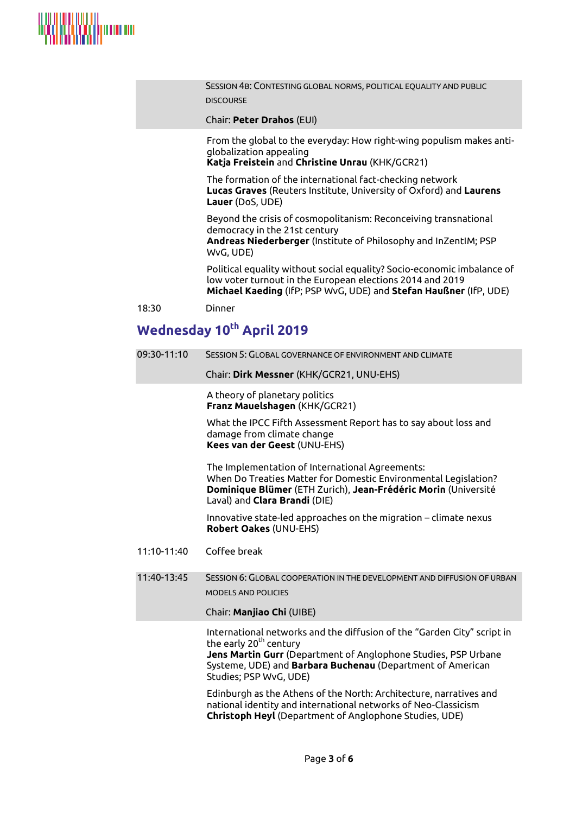

SESSION 4B: CONTESTING GLOBAL NORMS, POLITICAL EQUALITY AND PUBLIC DISCOURSE

Chair: **Peter Drahos** (EUI)

From the global to the everyday: How right-wing populism makes antiglobalization appealing

**Katja Freistein** and **Christine Unrau** (KHK/GCR21)

The formation of the international fact-checking network **Lucas Graves** (Reuters Institute, University of Oxford) and **Laurens Lauer** (DoS, UDE)

Beyond the crisis of cosmopolitanism: Reconceiving transnational democracy in the 21st century **Andreas Niederberger** (Institute of Philosophy and InZentIM; PSP WvG, UDE)

Political equality without social equality? Socio-economic imbalance of low voter turnout in the European elections 2014 and 2019 **Michael Kaeding** (IfP; PSP WvG, UDE) and **Stefan Haußner** (IfP, UDE)

18:30 Dinner

#### **Wednesday 10th April 2019**

| 09:30-11:10 | SESSION 5: GLOBAL GOVERNANCE OF ENVIRONMENT AND CLIMATE                                                                                                                                                                                              |
|-------------|------------------------------------------------------------------------------------------------------------------------------------------------------------------------------------------------------------------------------------------------------|
|             | Chair: Dirk Messner (KHK/GCR21, UNU-EHS)                                                                                                                                                                                                             |
|             | A theory of planetary politics<br>Franz Mauelshagen (KHK/GCR21)                                                                                                                                                                                      |
|             | What the IPCC Fifth Assessment Report has to say about loss and<br>damage from climate change<br>Kees van der Geest (UNU-EHS)                                                                                                                        |
|             | The Implementation of International Agreements:<br>When Do Treaties Matter for Domestic Environmental Legislation?<br>Dominique Blümer (ETH Zurich), Jean-Frédéric Morin (Université<br>Laval) and Clara Brandi (DIE)                                |
|             | Innovative state-led approaches on the migration – climate nexus<br>Robert Oakes (UNU-EHS)                                                                                                                                                           |
| 11:10-11:40 | Coffee break                                                                                                                                                                                                                                         |
| 11:40-13:45 | SESSION 6: GLOBAL COOPERATION IN THE DEVELOPMENT AND DIFFUSION OF URBAN<br><b>MODELS AND POLICIES</b><br>Chair: Manjiao Chi (UIBE)                                                                                                                   |
|             | International networks and the diffusion of the "Garden City" script in<br>the early 20 <sup>th</sup> century<br>Jens Martin Gurr (Department of Anglophone Studies, PSP Urbane<br>Suctame LIDE) and <b>Parhara Buchenau</b> (Department of American |

Systeme, UDE) and **Barbara Buchenau** (Department of American Studies; PSP WvG, UDE) Edinburgh as the Athens of the North: Architecture, narratives and

national identity and international networks of Neo-Classicism **Christoph Heyl** (Department of Anglophone Studies, UDE)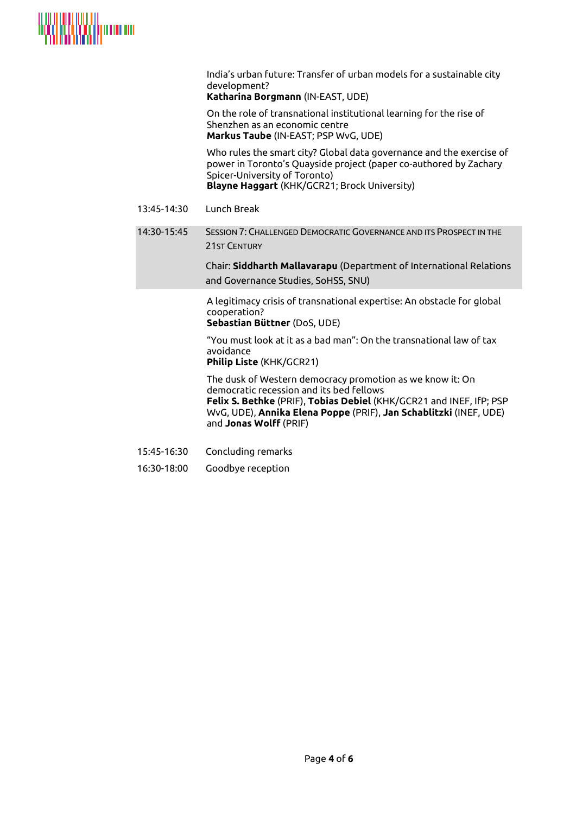

India's urban future: Transfer of urban models for a sustainable city development?

**Katharina Borgmann** (IN-EAST, UDE)

On the role of transnational institutional learning for the rise of Shenzhen as an economic centre **Markus Taube** (IN-EAST; PSP WvG, UDE)

Who rules the smart city? Global data governance and the exercise of power in Toronto's Quayside project (paper co-authored by Zachary Spicer-University of Toronto) **Blayne Haggart** (KHK/GCR21; Brock University)

- 13:45-14:30 Lunch Break
- 14:30-15:45 SESSION 7: CHALLENGED DEMOCRATIC GOVERNANCE AND ITS PROSPECT IN THE 21ST CENTURY

Chair: **Siddharth Mallavarapu** (Department of International Relations and Governance Studies, SoHSS, SNU)

A legitimacy crisis of transnational expertise: An obstacle for global cooperation?

**Sebastian Büttner** (DoS, UDE)

"You must look at it as a bad man": On the transnational law of tax avoidance

#### **Philip Liste** (KHK/GCR21)

The dusk of Western democracy promotion as we know it: On democratic recession and its bed fellows **Felix S. Bethke** (PRIF), **Tobias Debiel** (KHK/GCR21 and INEF, IfP; PSP

WvG, UDE), **Annika Elena Poppe** (PRIF), **Jan Schablitzki** (INEF, UDE) and **Jonas Wolff** (PRIF)

- 15:45-16:30 Concluding remarks
- 16:30-18:00 Goodbye reception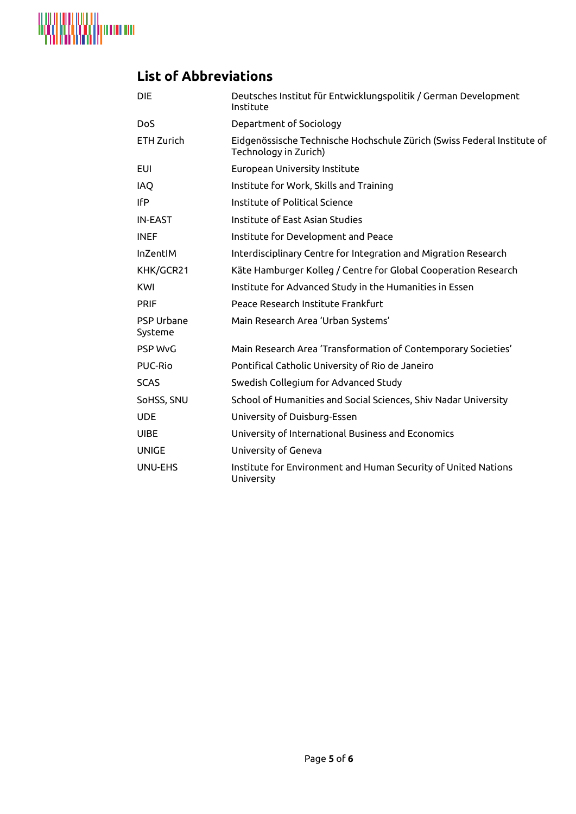

## **List of Abbreviations**

| <b>DIE</b>                   | Deutsches Institut für Entwicklungspolitik / German Development<br>Institute                     |
|------------------------------|--------------------------------------------------------------------------------------------------|
| <b>DoS</b>                   | Department of Sociology                                                                          |
| ETH Zurich                   | Eidgenössische Technische Hochschule Zürich (Swiss Federal Institute of<br>Technology in Zurich) |
| EUI                          | European University Institute                                                                    |
| IAQ                          | Institute for Work, Skills and Training                                                          |
| IfP                          | Institute of Political Science                                                                   |
| <b>IN-EAST</b>               | Institute of East Asian Studies                                                                  |
| <b>INEF</b>                  | Institute for Development and Peace                                                              |
| InZentIM                     | Interdisciplinary Centre for Integration and Migration Research                                  |
| KHK/GCR21                    | Käte Hamburger Kolleg / Centre for Global Cooperation Research                                   |
| KWI                          | Institute for Advanced Study in the Humanities in Essen                                          |
| <b>PRIF</b>                  | Peace Research Institute Frankfurt                                                               |
| <b>PSP Urbane</b><br>Systeme | Main Research Area 'Urban Systems'                                                               |
| <b>PSP WvG</b>               | Main Research Area 'Transformation of Contemporary Societies'                                    |
| <b>PUC-Rio</b>               | Pontifical Catholic University of Rio de Janeiro                                                 |
| <b>SCAS</b>                  | Swedish Collegium for Advanced Study                                                             |
| SoHSS, SNU                   | School of Humanities and Social Sciences, Shiv Nadar University                                  |
| <b>UDE</b>                   | University of Duisburg-Essen                                                                     |
| <b>UIBE</b>                  | University of International Business and Economics                                               |
| <b>UNIGE</b>                 | University of Geneva                                                                             |
| UNU-EHS                      | Institute for Environment and Human Security of United Nations<br>University                     |